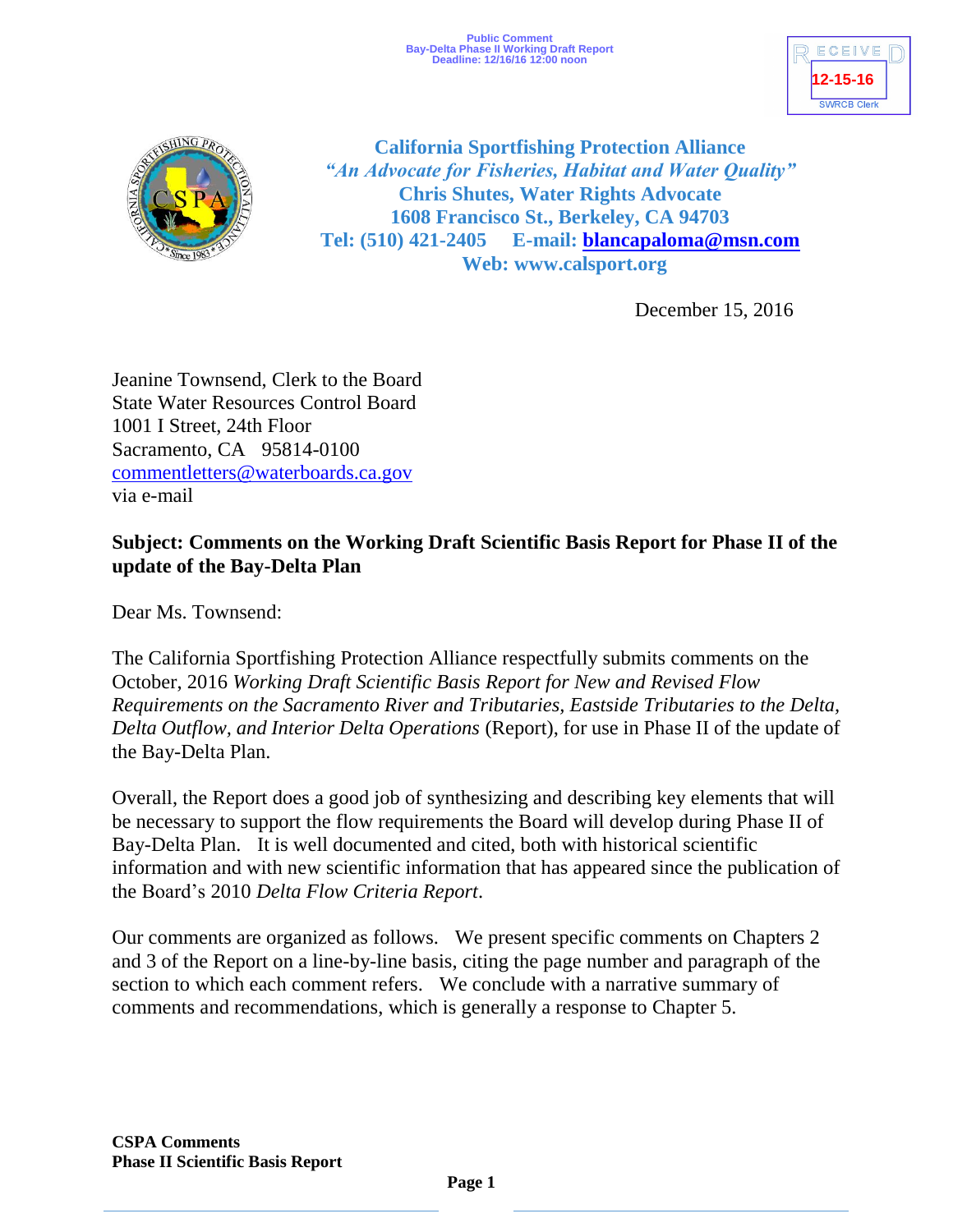



**California Sportfishing Protection Alliance** *"An Advocate for Fisheries, Habitat and Water Quality"* **Chris Shutes, Water Rights Advocate 1608 Francisco St., Berkeley, CA 94703 Tel: (510) 421-2405 E-mail: [blancapaloma@msn.com](mailto:blancapaloma@msn.com) Web: www.calsport.org**

December 15, 2016

Jeanine Townsend, Clerk to the Board State Water Resources Control Board 1001 I Street, 24th Floor Sacramento, CA 95814-0100 [commentletters@waterboards.ca.gov](mailto:commentletters@waterboards.ca.gov) via e-mail

# **Subject: Comments on the Working Draft Scientific Basis Report for Phase II of the update of the Bay-Delta Plan**

Dear Ms. Townsend:

The California Sportfishing Protection Alliance respectfully submits comments on the October, 2016 *Working Draft Scientific Basis Report for New and Revised Flow Requirements on the Sacramento River and Tributaries, Eastside Tributaries to the Delta, Delta Outflow, and Interior Delta Operations* (Report), for use in Phase II of the update of the Bay-Delta Plan.

Overall, the Report does a good job of synthesizing and describing key elements that will be necessary to support the flow requirements the Board will develop during Phase II of Bay-Delta Plan. It is well documented and cited, both with historical scientific information and with new scientific information that has appeared since the publication of the Board's 2010 *Delta Flow Criteria Report*.

Our comments are organized as follows. We present specific comments on Chapters 2 and 3 of the Report on a line-by-line basis, citing the page number and paragraph of the section to which each comment refers. We conclude with a narrative summary of comments and recommendations, which is generally a response to Chapter 5.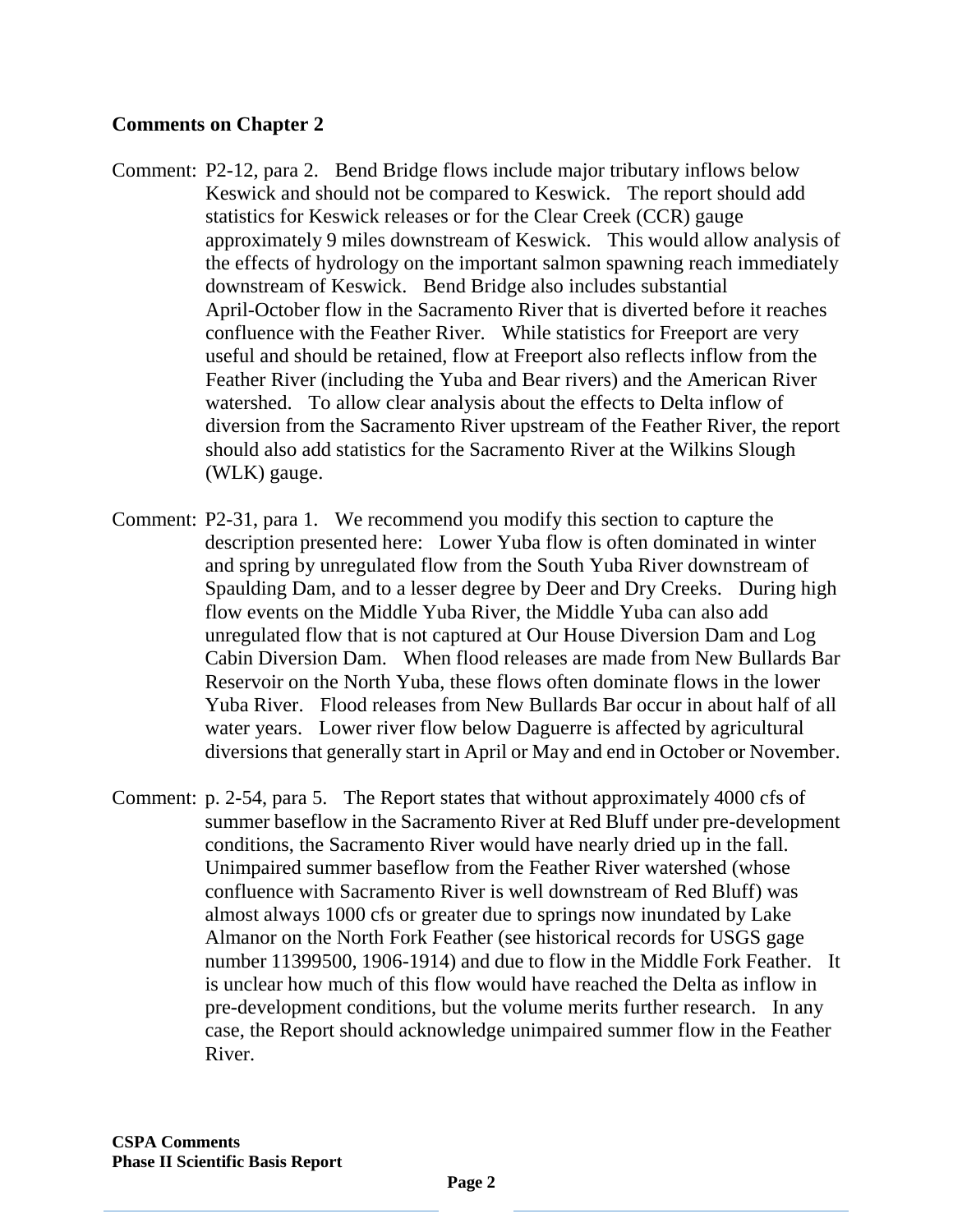## **Comments on Chapter 2**

- Comment: P2-12, para 2. Bend Bridge flows include major tributary inflows below Keswick and should not be compared to Keswick. The report should add statistics for Keswick releases or for the Clear Creek (CCR) gauge approximately 9 miles downstream of Keswick. This would allow analysis of the effects of hydrology on the important salmon spawning reach immediately downstream of Keswick. Bend Bridge also includes substantial April-October flow in the Sacramento River that is diverted before it reaches confluence with the Feather River. While statistics for Freeport are very useful and should be retained, flow at Freeport also reflects inflow from the Feather River (including the Yuba and Bear rivers) and the American River watershed. To allow clear analysis about the effects to Delta inflow of diversion from the Sacramento River upstream of the Feather River, the report should also add statistics for the Sacramento River at the Wilkins Slough (WLK) gauge.
- Comment: P2-31, para 1. We recommend you modify this section to capture the description presented here: Lower Yuba flow is often dominated in winter and spring by unregulated flow from the South Yuba River downstream of Spaulding Dam, and to a lesser degree by Deer and Dry Creeks. During high flow events on the Middle Yuba River, the Middle Yuba can also add unregulated flow that is not captured at Our House Diversion Dam and Log Cabin Diversion Dam. When flood releases are made from New Bullards Bar Reservoir on the North Yuba, these flows often dominate flows in the lower Yuba River. Flood releases from New Bullards Bar occur in about half of all water years. Lower river flow below Daguerre is affected by agricultural diversions that generally start in April or May and end in October or November.
- Comment: p. 2-54, para 5. The Report states that without approximately 4000 cfs of summer baseflow in the Sacramento River at Red Bluff under pre-development conditions, the Sacramento River would have nearly dried up in the fall. Unimpaired summer baseflow from the Feather River watershed (whose confluence with Sacramento River is well downstream of Red Bluff) was almost always 1000 cfs or greater due to springs now inundated by Lake Almanor on the North Fork Feather (see historical records for USGS gage number 11399500, 1906-1914) and due to flow in the Middle Fork Feather. It is unclear how much of this flow would have reached the Delta as inflow in pre-development conditions, but the volume merits further research. In any case, the Report should acknowledge unimpaired summer flow in the Feather River.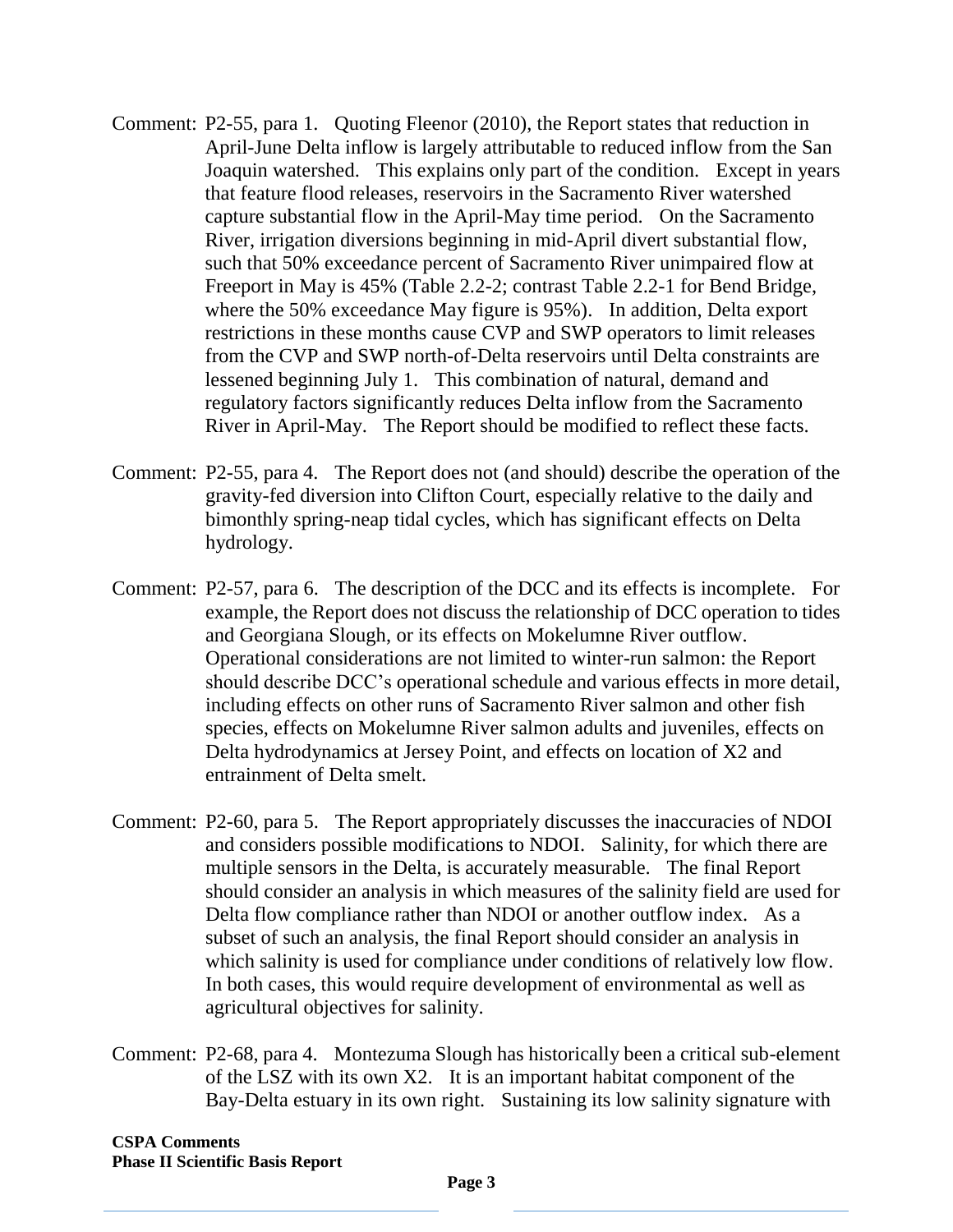- Comment: P2-55, para 1. Quoting Fleenor (2010), the Report states that reduction in April-June Delta inflow is largely attributable to reduced inflow from the San Joaquin watershed. This explains only part of the condition. Except in years that feature flood releases, reservoirs in the Sacramento River watershed capture substantial flow in the April-May time period. On the Sacramento River, irrigation diversions beginning in mid-April divert substantial flow, such that 50% exceedance percent of Sacramento River unimpaired flow at Freeport in May is 45% (Table 2.2-2; contrast Table 2.2-1 for Bend Bridge, where the 50% exceedance May figure is 95%). In addition, Delta export restrictions in these months cause CVP and SWP operators to limit releases from the CVP and SWP north-of-Delta reservoirs until Delta constraints are lessened beginning July 1. This combination of natural, demand and regulatory factors significantly reduces Delta inflow from the Sacramento River in April-May. The Report should be modified to reflect these facts.
- Comment: P2-55, para 4. The Report does not (and should) describe the operation of the gravity-fed diversion into Clifton Court, especially relative to the daily and bimonthly spring-neap tidal cycles, which has significant effects on Delta hydrology.
- Comment: P2-57, para 6. The description of the DCC and its effects is incomplete. For example, the Report does not discuss the relationship of DCC operation to tides and Georgiana Slough, or its effects on Mokelumne River outflow. Operational considerations are not limited to winter-run salmon: the Report should describe DCC's operational schedule and various effects in more detail, including effects on other runs of Sacramento River salmon and other fish species, effects on Mokelumne River salmon adults and juveniles, effects on Delta hydrodynamics at Jersey Point, and effects on location of X2 and entrainment of Delta smelt.
- Comment: P2-60, para 5. The Report appropriately discusses the inaccuracies of NDOI and considers possible modifications to NDOI. Salinity, for which there are multiple sensors in the Delta, is accurately measurable. The final Report should consider an analysis in which measures of the salinity field are used for Delta flow compliance rather than NDOI or another outflow index. As a subset of such an analysis, the final Report should consider an analysis in which salinity is used for compliance under conditions of relatively low flow. In both cases, this would require development of environmental as well as agricultural objectives for salinity.
- Comment: P2-68, para 4. Montezuma Slough has historically been a critical sub-element of the LSZ with its own X2. It is an important habitat component of the Bay-Delta estuary in its own right. Sustaining its low salinity signature with

**CSPA Comments Phase II Scientific Basis Report**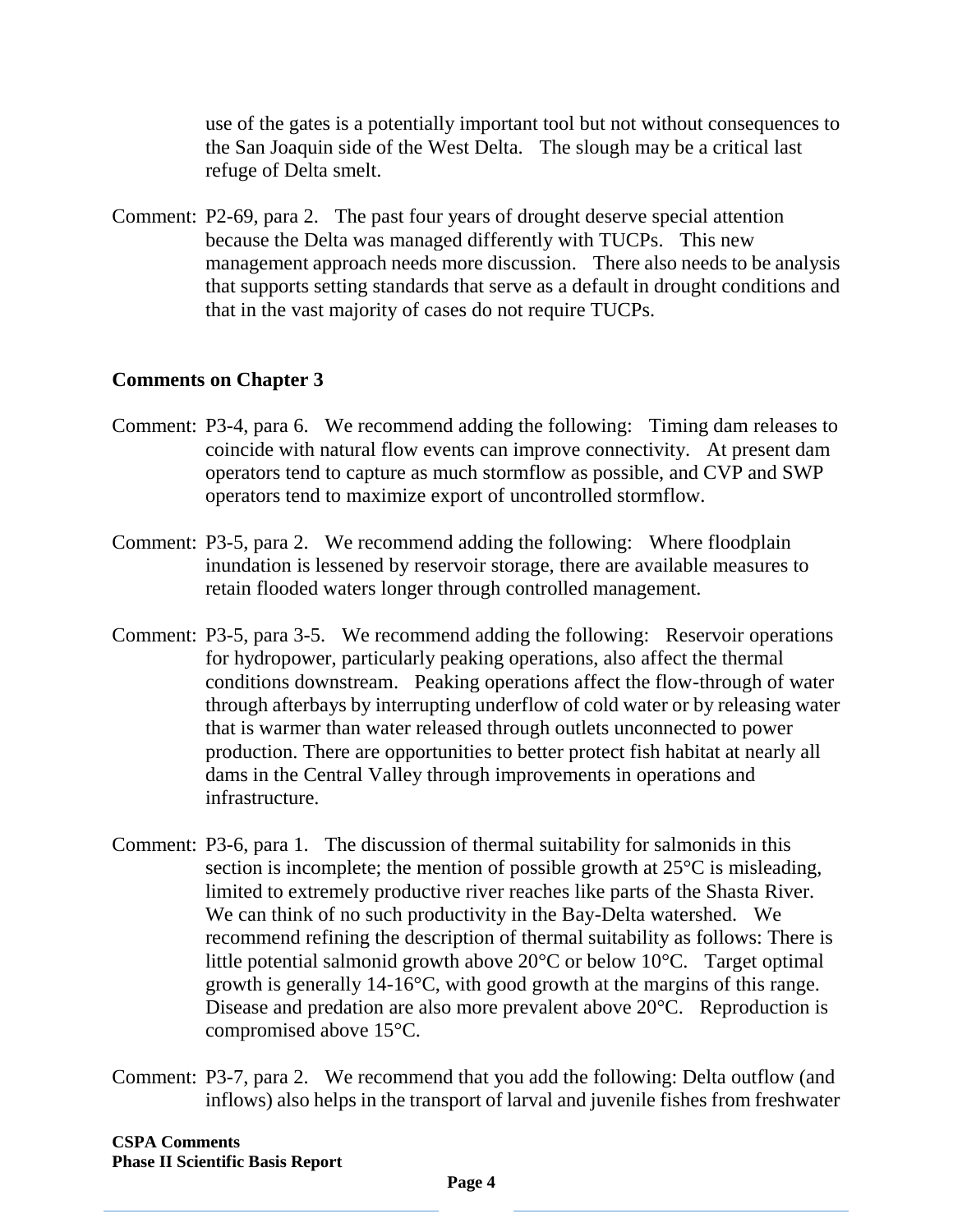use of the gates is a potentially important tool but not without consequences to the San Joaquin side of the West Delta. The slough may be a critical last refuge of Delta smelt.

Comment: P2-69, para 2. The past four years of drought deserve special attention because the Delta was managed differently with TUCPs. This new management approach needs more discussion. There also needs to be analysis that supports setting standards that serve as a default in drought conditions and that in the vast majority of cases do not require TUCPs.

### **Comments on Chapter 3**

- Comment: P3-4, para 6. We recommend adding the following: Timing dam releases to coincide with natural flow events can improve connectivity. At present dam operators tend to capture as much stormflow as possible, and CVP and SWP operators tend to maximize export of uncontrolled stormflow.
- Comment: P3-5, para 2. We recommend adding the following: Where floodplain inundation is lessened by reservoir storage, there are available measures to retain flooded waters longer through controlled management.
- Comment: P3-5, para 3-5. We recommend adding the following: Reservoir operations for hydropower, particularly peaking operations, also affect the thermal conditions downstream. Peaking operations affect the flow-through of water through afterbays by interrupting underflow of cold water or by releasing water that is warmer than water released through outlets unconnected to power production. There are opportunities to better protect fish habitat at nearly all dams in the Central Valley through improvements in operations and infrastructure.
- Comment: P3-6, para 1. The discussion of thermal suitability for salmonids in this section is incomplete; the mention of possible growth at 25°C is misleading, limited to extremely productive river reaches like parts of the Shasta River. We can think of no such productivity in the Bay-Delta watershed. We recommend refining the description of thermal suitability as follows: There is little potential salmonid growth above 20°C or below 10°C. Target optimal growth is generally 14-16°C, with good growth at the margins of this range. Disease and predation are also more prevalent above 20°C. Reproduction is compromised above 15°C.
- Comment: P3-7, para 2. We recommend that you add the following: Delta outflow (and inflows) also helps in the transport of larval and juvenile fishes from freshwater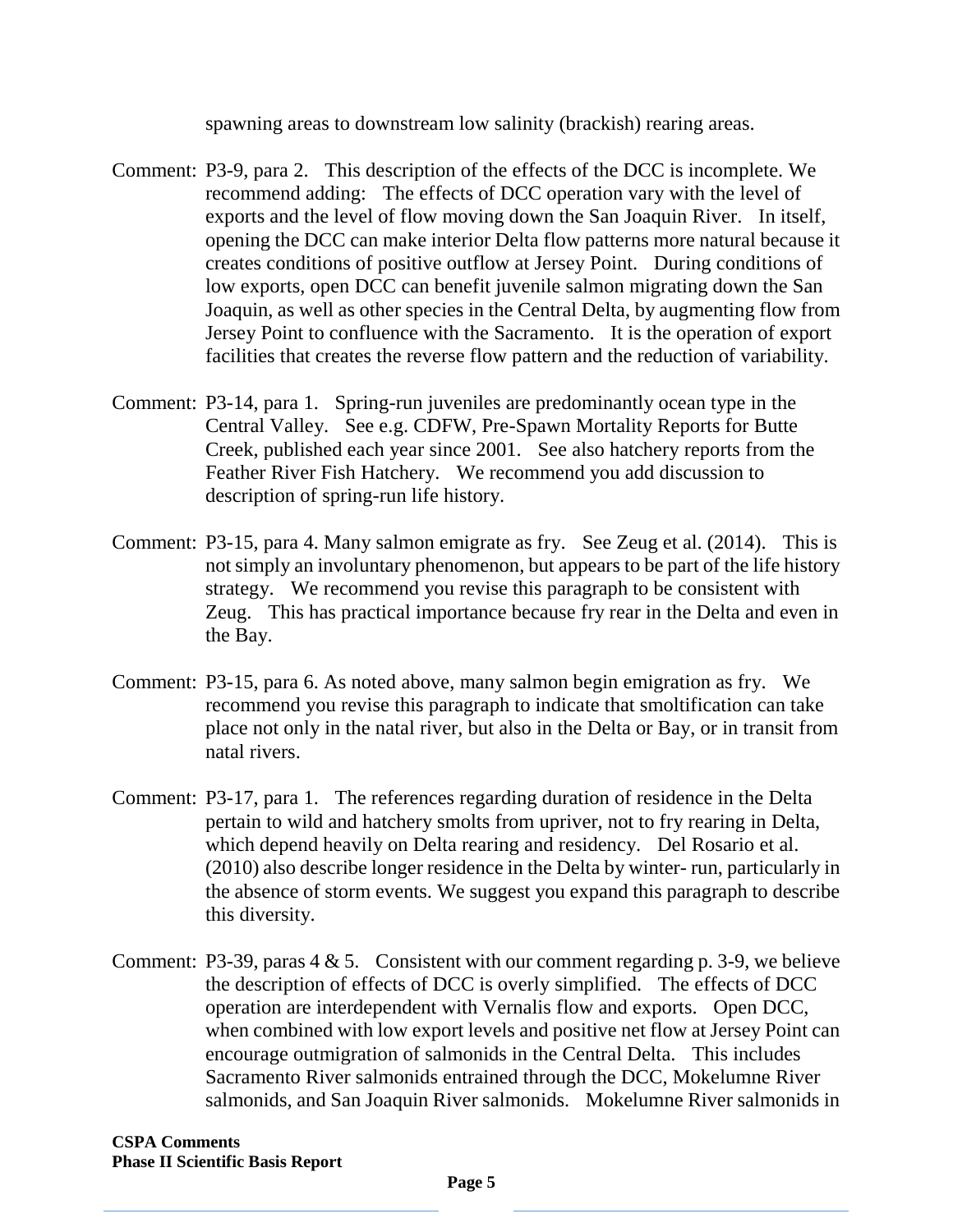spawning areas to downstream low salinity (brackish) rearing areas.

- Comment: P3-9, para 2. This description of the effects of the DCC is incomplete. We recommend adding: The effects of DCC operation vary with the level of exports and the level of flow moving down the San Joaquin River. In itself, opening the DCC can make interior Delta flow patterns more natural because it creates conditions of positive outflow at Jersey Point. During conditions of low exports, open DCC can benefit juvenile salmon migrating down the San Joaquin, as well as other species in the Central Delta, by augmenting flow from Jersey Point to confluence with the Sacramento. It is the operation of export facilities that creates the reverse flow pattern and the reduction of variability.
- Comment: P3-14, para 1. Spring-run juveniles are predominantly ocean type in the Central Valley. See e.g. CDFW, Pre-Spawn Mortality Reports for Butte Creek, published each year since 2001. See also hatchery reports from the Feather River Fish Hatchery. We recommend you add discussion to description of spring-run life history.
- Comment: P3-15, para 4. Many salmon emigrate as fry. See Zeug et al. (2014). This is not simply an involuntary phenomenon, but appears to be part of the life history strategy. We recommend you revise this paragraph to be consistent with Zeug. This has practical importance because fry rear in the Delta and even in the Bay.
- Comment: P3-15, para 6. As noted above, many salmon begin emigration as fry. We recommend you revise this paragraph to indicate that smoltification can take place not only in the natal river, but also in the Delta or Bay, or in transit from natal rivers.
- Comment: P3-17, para 1. The references regarding duration of residence in the Delta pertain to wild and hatchery smolts from upriver, not to fry rearing in Delta, which depend heavily on Delta rearing and residency. Del Rosario et al. (2010) also describe longer residence in the Delta by winter- run, particularly in the absence of storm events. We suggest you expand this paragraph to describe this diversity.
- Comment: P3-39, paras  $4 \& 5$ . Consistent with our comment regarding p. 3-9, we believe the description of effects of DCC is overly simplified. The effects of DCC operation are interdependent with Vernalis flow and exports. Open DCC, when combined with low export levels and positive net flow at Jersey Point can encourage outmigration of salmonids in the Central Delta. This includes Sacramento River salmonids entrained through the DCC, Mokelumne River salmonids, and San Joaquin River salmonids. Mokelumne River salmonids in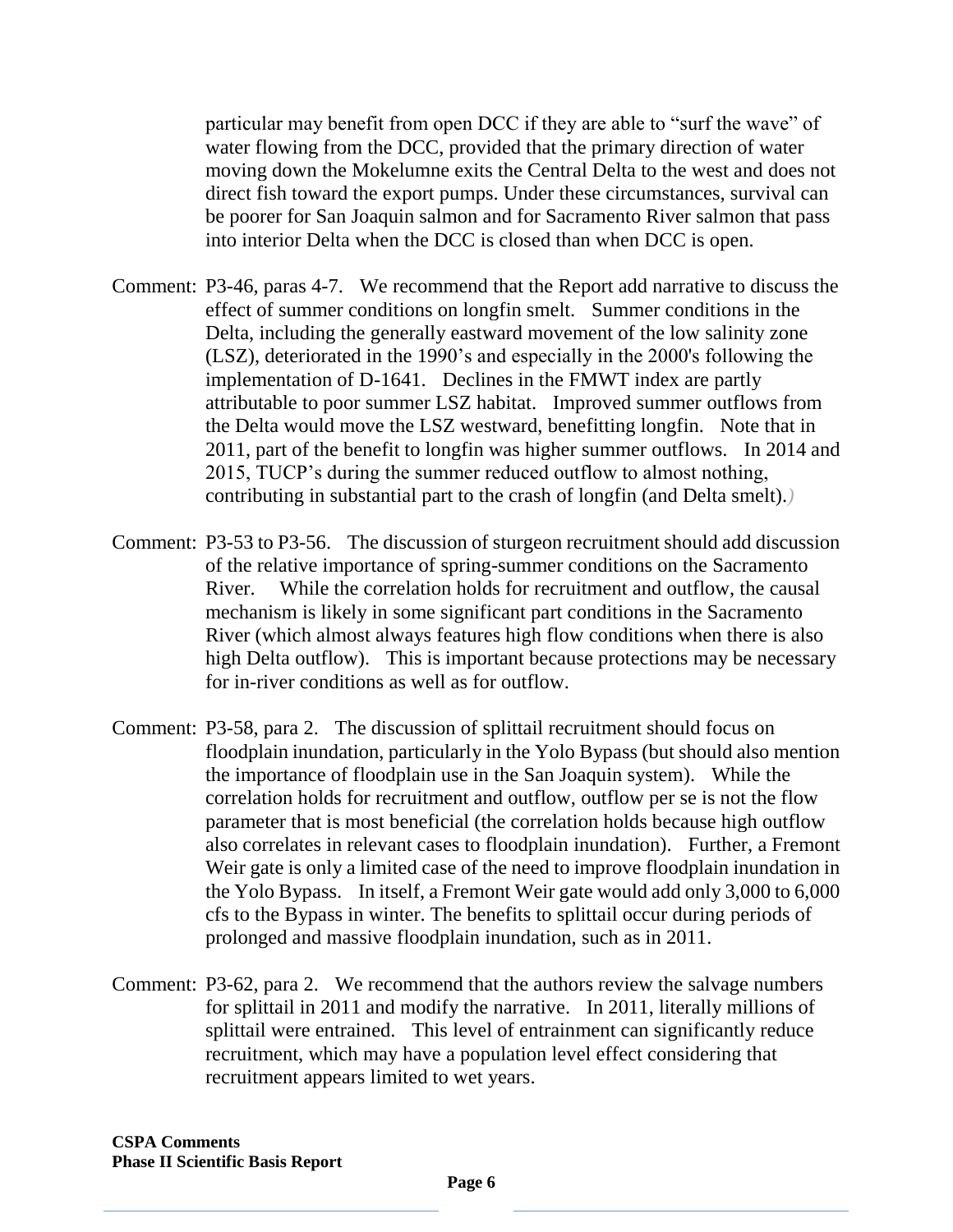particular may benefit from open DCC if they are able to "surf the wave" of water flowing from the DCC, provided that the primary direction of water moving down the Mokelumne exits the Central Delta to the west and does not direct fish toward the export pumps. Under these circumstances, survival can be poorer for San Joaquin salmon and for Sacramento River salmon that pass into interior Delta when the DCC is closed than when DCC is open.

- Comment: P3-46, paras 4-7. We recommend that the Report add narrative to discuss the effect of summer conditions on longfin smelt. Summer conditions in the Delta, including the generally eastward movement of the low salinity zone (LSZ), deteriorated in the 1990's and especially in the 2000's following the implementation of D-1641. Declines in the FMWT index are partly attributable to poor summer LSZ habitat. Improved summer outflows from the Delta would move the LSZ westward, benefitting longfin. Note that in 2011, part of the benefit to longfin was higher summer outflows. In 2014 and 2015, TUCP's during the summer reduced outflow to almost nothing, contributing in substantial part to the crash of longfin (and Delta smelt).*)*
- Comment: P3-53 to P3-56. The discussion of sturgeon recruitment should add discussion of the relative importance of spring-summer conditions on the Sacramento River. While the correlation holds for recruitment and outflow, the causal mechanism is likely in some significant part conditions in the Sacramento River (which almost always features high flow conditions when there is also high Delta outflow). This is important because protections may be necessary for in-river conditions as well as for outflow.
- Comment: P3-58, para 2. The discussion of splittail recruitment should focus on floodplain inundation, particularly in the Yolo Bypass (but should also mention the importance of floodplain use in the San Joaquin system). While the correlation holds for recruitment and outflow, outflow per se is not the flow parameter that is most beneficial (the correlation holds because high outflow also correlates in relevant cases to floodplain inundation). Further, a Fremont Weir gate is only a limited case of the need to improve floodplain inundation in the Yolo Bypass. In itself, a Fremont Weir gate would add only 3,000 to 6,000 cfs to the Bypass in winter. The benefits to splittail occur during periods of prolonged and massive floodplain inundation, such as in 2011.
- Comment: P3-62, para 2. We recommend that the authors review the salvage numbers for splittail in 2011 and modify the narrative. In 2011, literally millions of splittail were entrained. This level of entrainment can significantly reduce recruitment, which may have a population level effect considering that recruitment appears limited to wet years.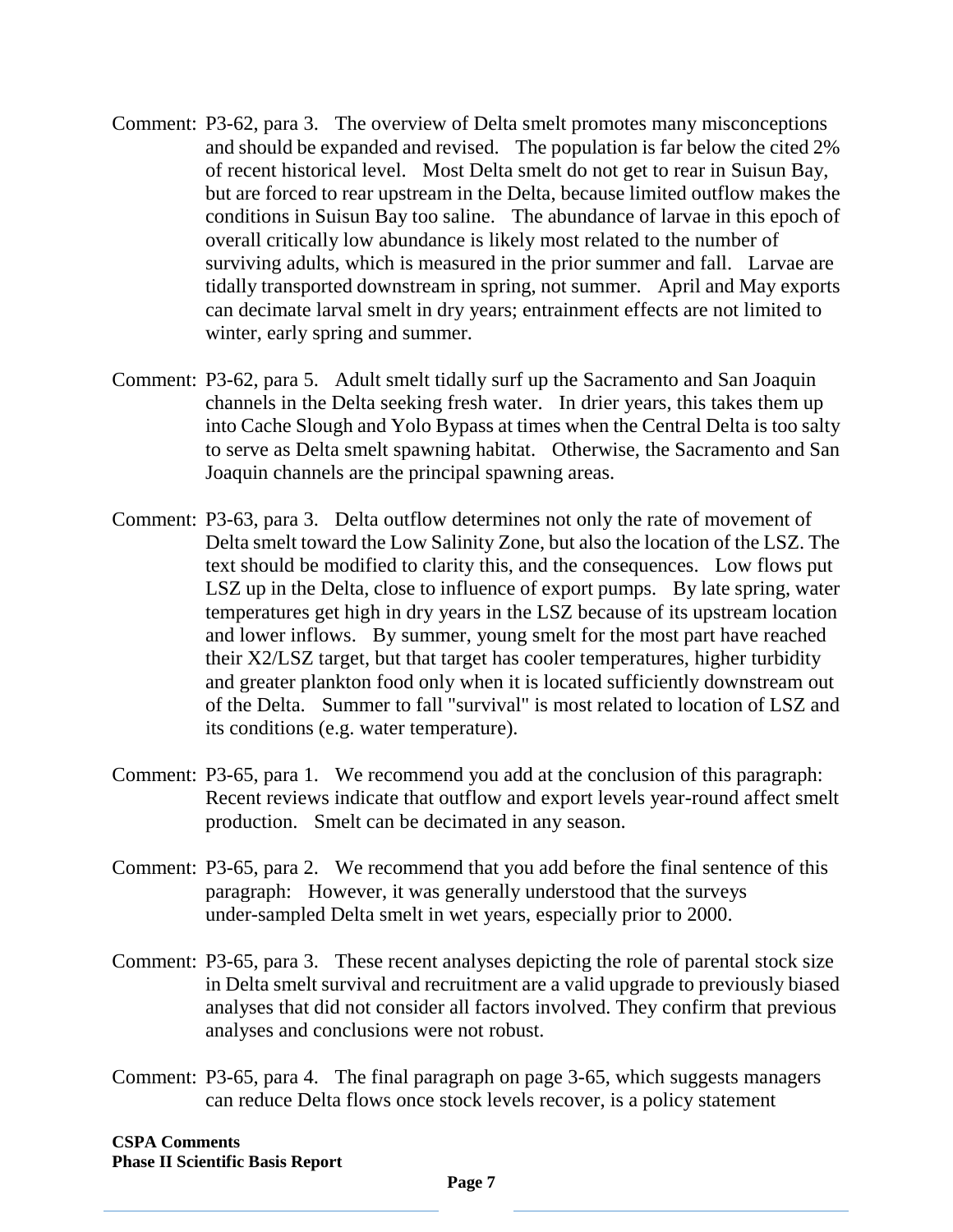- Comment: P3-62, para 3. The overview of Delta smelt promotes many misconceptions and should be expanded and revised. The population is far below the cited 2% of recent historical level. Most Delta smelt do not get to rear in Suisun Bay, but are forced to rear upstream in the Delta, because limited outflow makes the conditions in Suisun Bay too saline. The abundance of larvae in this epoch of overall critically low abundance is likely most related to the number of surviving adults, which is measured in the prior summer and fall. Larvae are tidally transported downstream in spring, not summer. April and May exports can decimate larval smelt in dry years; entrainment effects are not limited to winter, early spring and summer.
- Comment: P3-62, para 5. Adult smelt tidally surf up the Sacramento and San Joaquin channels in the Delta seeking fresh water. In drier years, this takes them up into Cache Slough and Yolo Bypass at times when the Central Delta is too salty to serve as Delta smelt spawning habitat. Otherwise, the Sacramento and San Joaquin channels are the principal spawning areas.
- Comment: P3-63, para 3. Delta outflow determines not only the rate of movement of Delta smelt toward the Low Salinity Zone, but also the location of the LSZ. The text should be modified to clarity this, and the consequences. Low flows put LSZ up in the Delta, close to influence of export pumps. By late spring, water temperatures get high in dry years in the LSZ because of its upstream location and lower inflows. By summer, young smelt for the most part have reached their X2/LSZ target, but that target has cooler temperatures, higher turbidity and greater plankton food only when it is located sufficiently downstream out of the Delta. Summer to fall "survival" is most related to location of LSZ and its conditions (e.g. water temperature).
- Comment: P3-65, para 1. We recommend you add at the conclusion of this paragraph: Recent reviews indicate that outflow and export levels year-round affect smelt production. Smelt can be decimated in any season.
- Comment: P3-65, para 2. We recommend that you add before the final sentence of this paragraph: However, it was generally understood that the surveys under-sampled Delta smelt in wet years, especially prior to 2000.
- Comment: P3-65, para 3. These recent analyses depicting the role of parental stock size in Delta smelt survival and recruitment are a valid upgrade to previously biased analyses that did not consider all factors involved. They confirm that previous analyses and conclusions were not robust.
- Comment: P3-65, para 4. The final paragraph on page 3-65, which suggests managers can reduce Delta flows once stock levels recover, is a policy statement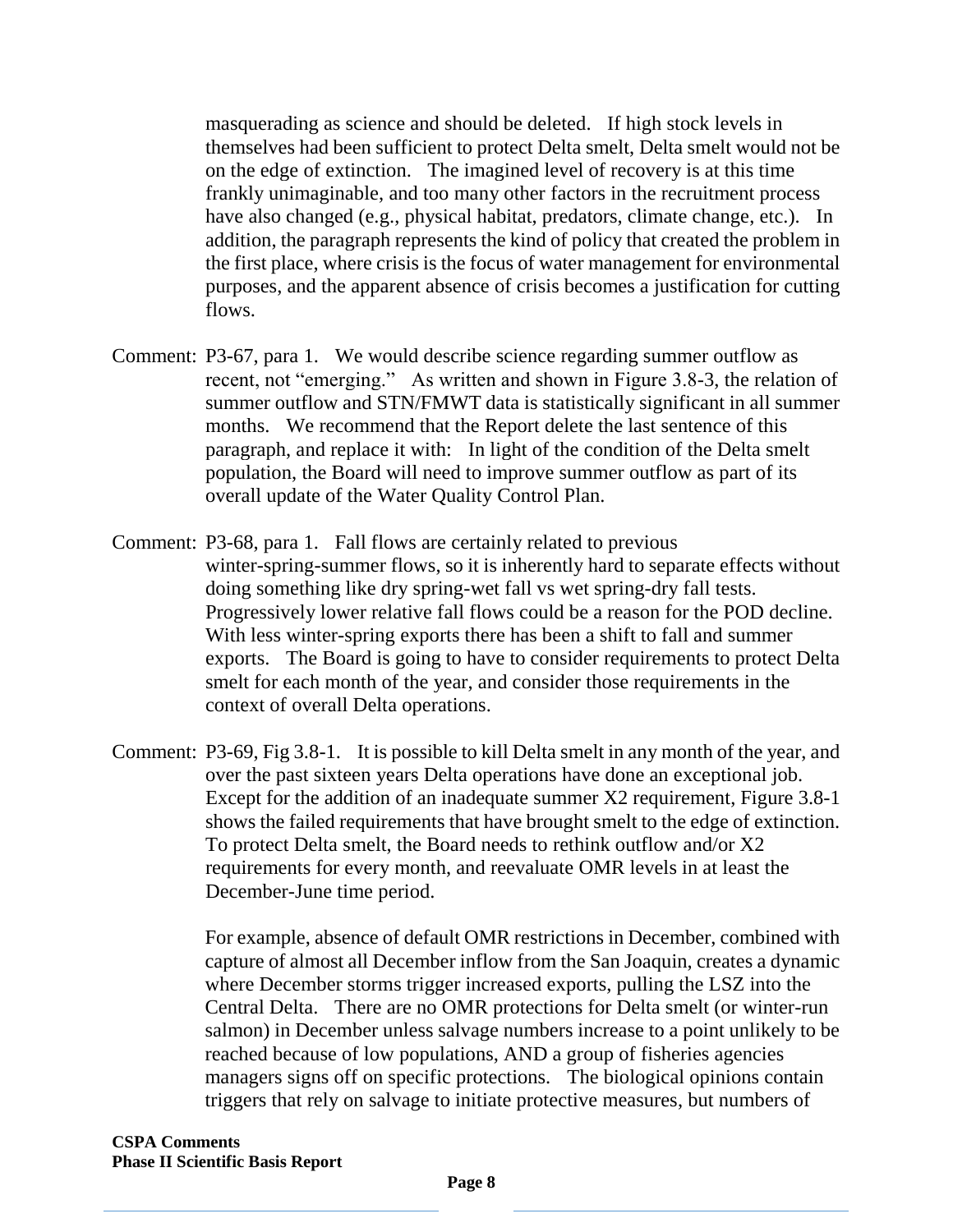masquerading as science and should be deleted. If high stock levels in themselves had been sufficient to protect Delta smelt, Delta smelt would not be on the edge of extinction. The imagined level of recovery is at this time frankly unimaginable, and too many other factors in the recruitment process have also changed (e.g., physical habitat, predators, climate change, etc.). In addition, the paragraph represents the kind of policy that created the problem in the first place, where crisis is the focus of water management for environmental purposes, and the apparent absence of crisis becomes a justification for cutting flows.

- Comment: P3-67, para 1. We would describe science regarding summer outflow as recent, not "emerging." As written and shown in Figure 3.8-3, the relation of summer outflow and STN/FMWT data is statistically significant in all summer months. We recommend that the Report delete the last sentence of this paragraph, and replace it with: In light of the condition of the Delta smelt population, the Board will need to improve summer outflow as part of its overall update of the Water Quality Control Plan.
- Comment: P3-68, para 1. Fall flows are certainly related to previous winter-spring-summer flows, so it is inherently hard to separate effects without doing something like dry spring-wet fall vs wet spring-dry fall tests. Progressively lower relative fall flows could be a reason for the POD decline. With less winter-spring exports there has been a shift to fall and summer exports. The Board is going to have to consider requirements to protect Delta smelt for each month of the year, and consider those requirements in the context of overall Delta operations.
- Comment: P3-69, Fig 3.8-1. It is possible to kill Delta smelt in any month of the year, and over the past sixteen years Delta operations have done an exceptional job. Except for the addition of an inadequate summer X2 requirement, Figure 3.8-1 shows the failed requirements that have brought smelt to the edge of extinction. To protect Delta smelt, the Board needs to rethink outflow and/or X2 requirements for every month, and reevaluate OMR levels in at least the December-June time period.

For example, absence of default OMR restrictions in December, combined with capture of almost all December inflow from the San Joaquin, creates a dynamic where December storms trigger increased exports, pulling the LSZ into the Central Delta. There are no OMR protections for Delta smelt (or winter-run salmon) in December unless salvage numbers increase to a point unlikely to be reached because of low populations, AND a group of fisheries agencies managers signs off on specific protections. The biological opinions contain triggers that rely on salvage to initiate protective measures, but numbers of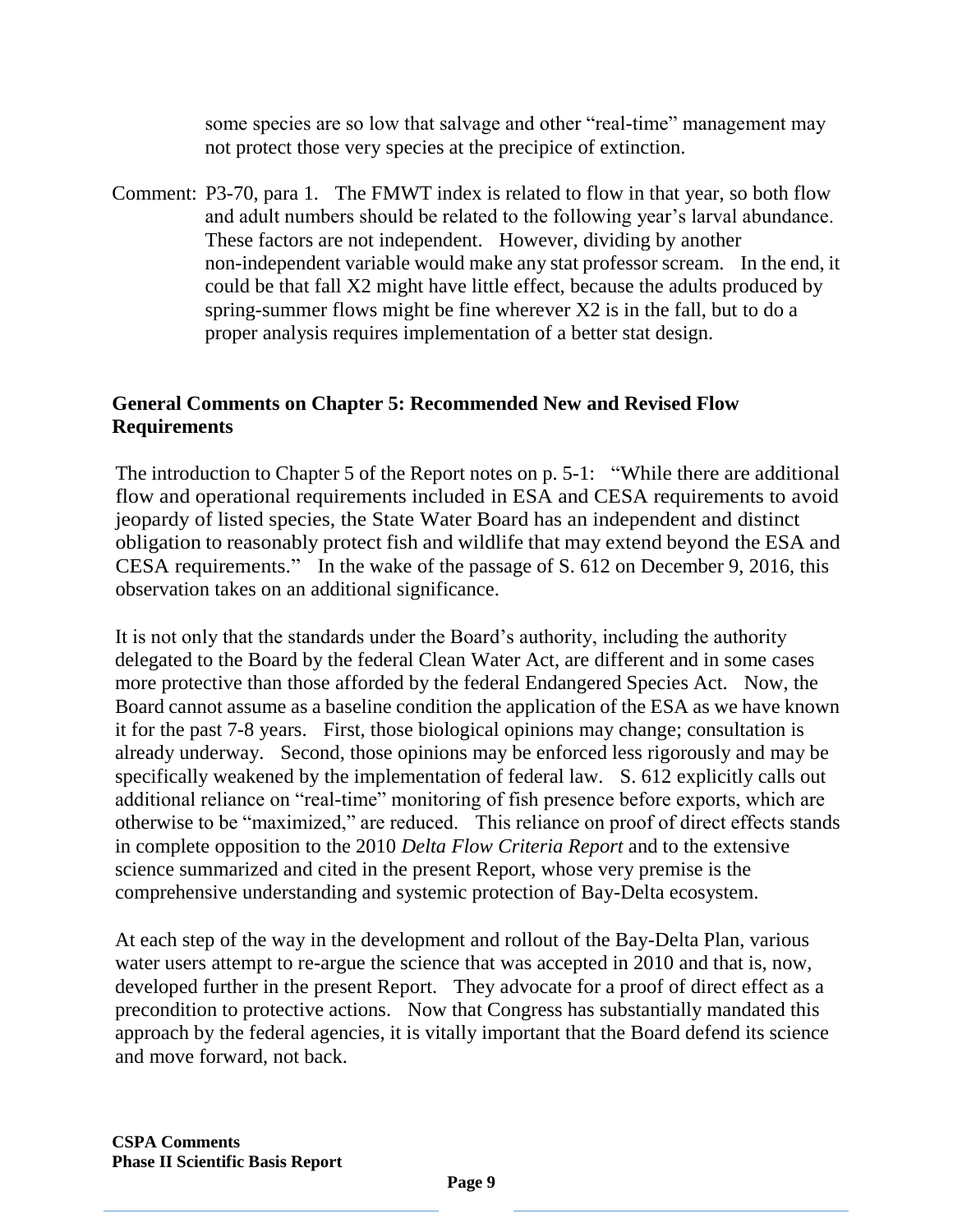some species are so low that salvage and other "real-time" management may not protect those very species at the precipice of extinction.

Comment: P3-70, para 1. The FMWT index is related to flow in that year, so both flow and adult numbers should be related to the following year's larval abundance. These factors are not independent. However, dividing by another non-independent variable would make any stat professor scream. In the end, it could be that fall X2 might have little effect, because the adults produced by spring-summer flows might be fine wherever X2 is in the fall, but to do a proper analysis requires implementation of a better stat design.

## **General Comments on Chapter 5: Recommended New and Revised Flow Requirements**

The introduction to Chapter 5 of the Report notes on p. 5-1: "While there are additional flow and operational requirements included in ESA and CESA requirements to avoid jeopardy of listed species, the State Water Board has an independent and distinct obligation to reasonably protect fish and wildlife that may extend beyond the ESA and CESA requirements." In the wake of the passage of S. 612 on December 9, 2016, this observation takes on an additional significance.

It is not only that the standards under the Board's authority, including the authority delegated to the Board by the federal Clean Water Act, are different and in some cases more protective than those afforded by the federal Endangered Species Act. Now, the Board cannot assume as a baseline condition the application of the ESA as we have known it for the past 7-8 years. First, those biological opinions may change; consultation is already underway. Second, those opinions may be enforced less rigorously and may be specifically weakened by the implementation of federal law. S. 612 explicitly calls out additional reliance on "real-time" monitoring of fish presence before exports, which are otherwise to be "maximized," are reduced. This reliance on proof of direct effects stands in complete opposition to the 2010 *Delta Flow Criteria Report* and to the extensive science summarized and cited in the present Report, whose very premise is the comprehensive understanding and systemic protection of Bay-Delta ecosystem.

At each step of the way in the development and rollout of the Bay-Delta Plan, various water users attempt to re-argue the science that was accepted in 2010 and that is, now, developed further in the present Report. They advocate for a proof of direct effect as a precondition to protective actions. Now that Congress has substantially mandated this approach by the federal agencies, it is vitally important that the Board defend its science and move forward, not back.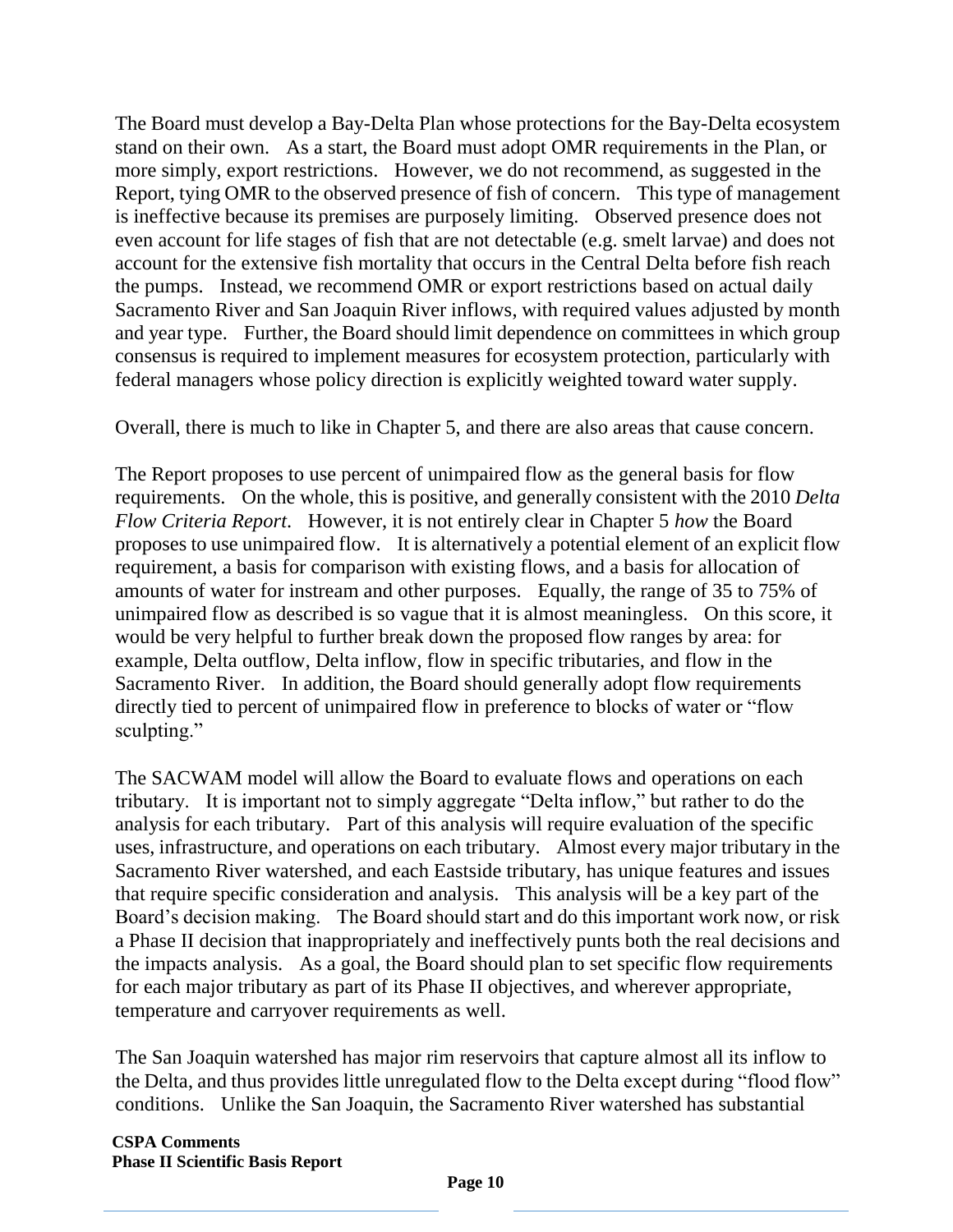The Board must develop a Bay-Delta Plan whose protections for the Bay-Delta ecosystem stand on their own. As a start, the Board must adopt OMR requirements in the Plan, or more simply, export restrictions. However, we do not recommend, as suggested in the Report, tying OMR to the observed presence of fish of concern. This type of management is ineffective because its premises are purposely limiting. Observed presence does not even account for life stages of fish that are not detectable (e.g. smelt larvae) and does not account for the extensive fish mortality that occurs in the Central Delta before fish reach the pumps. Instead, we recommend OMR or export restrictions based on actual daily Sacramento River and San Joaquin River inflows, with required values adjusted by month and year type. Further, the Board should limit dependence on committees in which group consensus is required to implement measures for ecosystem protection, particularly with federal managers whose policy direction is explicitly weighted toward water supply.

Overall, there is much to like in Chapter 5, and there are also areas that cause concern.

The Report proposes to use percent of unimpaired flow as the general basis for flow requirements. On the whole, this is positive, and generally consistent with the 2010 *Delta Flow Criteria Report*. However, it is not entirely clear in Chapter 5 *how* the Board proposes to use unimpaired flow. It is alternatively a potential element of an explicit flow requirement, a basis for comparison with existing flows, and a basis for allocation of amounts of water for instream and other purposes. Equally, the range of 35 to 75% of unimpaired flow as described is so vague that it is almost meaningless. On this score, it would be very helpful to further break down the proposed flow ranges by area: for example, Delta outflow, Delta inflow, flow in specific tributaries, and flow in the Sacramento River. In addition, the Board should generally adopt flow requirements directly tied to percent of unimpaired flow in preference to blocks of water or "flow sculpting."

The SACWAM model will allow the Board to evaluate flows and operations on each tributary. It is important not to simply aggregate "Delta inflow," but rather to do the analysis for each tributary. Part of this analysis will require evaluation of the specific uses, infrastructure, and operations on each tributary. Almost every major tributary in the Sacramento River watershed, and each Eastside tributary, has unique features and issues that require specific consideration and analysis. This analysis will be a key part of the Board's decision making. The Board should start and do this important work now, or risk a Phase II decision that inappropriately and ineffectively punts both the real decisions and the impacts analysis. As a goal, the Board should plan to set specific flow requirements for each major tributary as part of its Phase II objectives, and wherever appropriate, temperature and carryover requirements as well.

The San Joaquin watershed has major rim reservoirs that capture almost all its inflow to the Delta, and thus provides little unregulated flow to the Delta except during "flood flow" conditions. Unlike the San Joaquin, the Sacramento River watershed has substantial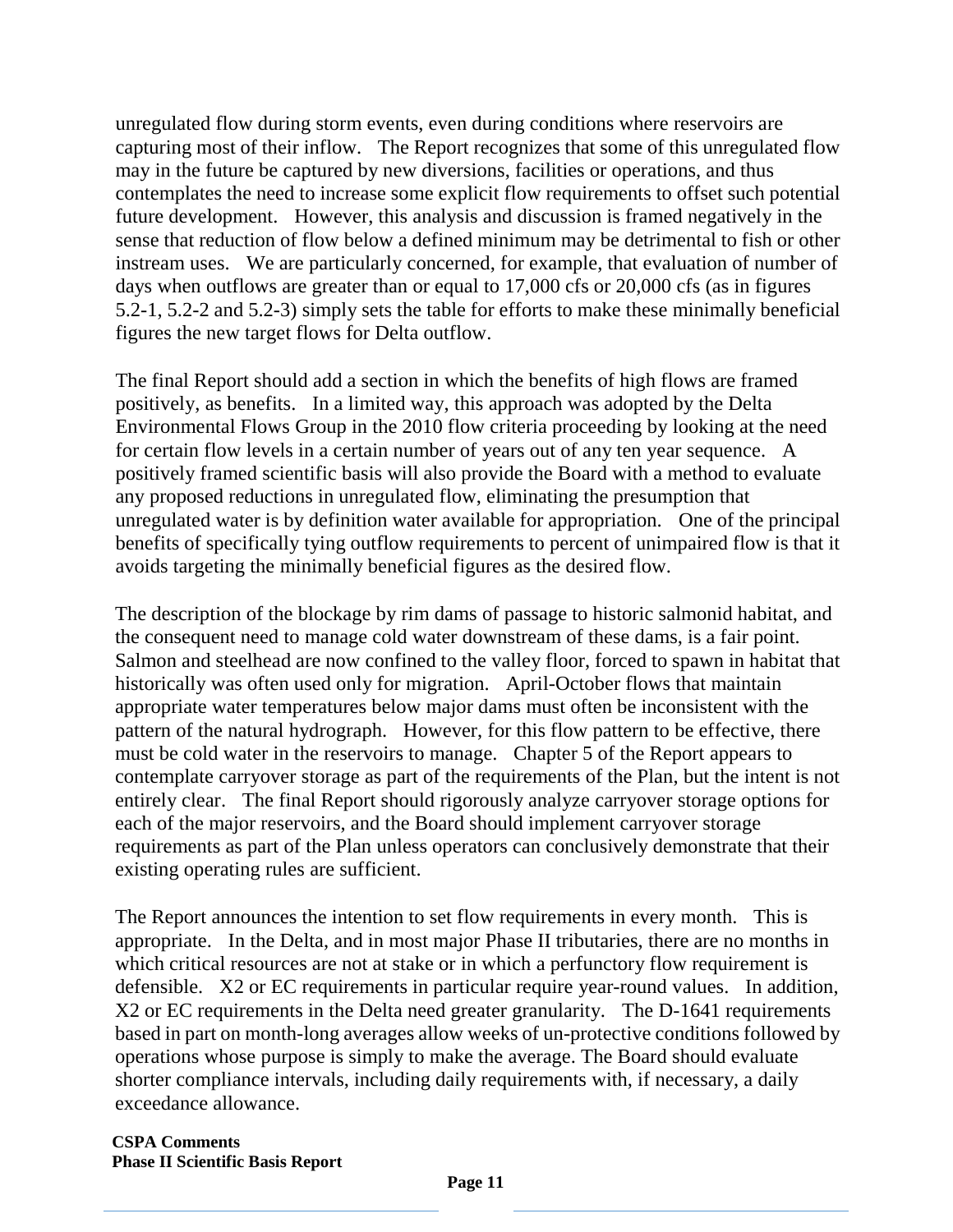unregulated flow during storm events, even during conditions where reservoirs are capturing most of their inflow. The Report recognizes that some of this unregulated flow may in the future be captured by new diversions, facilities or operations, and thus contemplates the need to increase some explicit flow requirements to offset such potential future development. However, this analysis and discussion is framed negatively in the sense that reduction of flow below a defined minimum may be detrimental to fish or other instream uses. We are particularly concerned, for example, that evaluation of number of days when outflows are greater than or equal to 17,000 cfs or 20,000 cfs (as in figures 5.2-1, 5.2-2 and 5.2-3) simply sets the table for efforts to make these minimally beneficial figures the new target flows for Delta outflow.

The final Report should add a section in which the benefits of high flows are framed positively, as benefits. In a limited way, this approach was adopted by the Delta Environmental Flows Group in the 2010 flow criteria proceeding by looking at the need for certain flow levels in a certain number of years out of any ten year sequence. A positively framed scientific basis will also provide the Board with a method to evaluate any proposed reductions in unregulated flow, eliminating the presumption that unregulated water is by definition water available for appropriation. One of the principal benefits of specifically tying outflow requirements to percent of unimpaired flow is that it avoids targeting the minimally beneficial figures as the desired flow.

The description of the blockage by rim dams of passage to historic salmonid habitat, and the consequent need to manage cold water downstream of these dams, is a fair point. Salmon and steelhead are now confined to the valley floor, forced to spawn in habitat that historically was often used only for migration. April-October flows that maintain appropriate water temperatures below major dams must often be inconsistent with the pattern of the natural hydrograph. However, for this flow pattern to be effective, there must be cold water in the reservoirs to manage. Chapter 5 of the Report appears to contemplate carryover storage as part of the requirements of the Plan, but the intent is not entirely clear. The final Report should rigorously analyze carryover storage options for each of the major reservoirs, and the Board should implement carryover storage requirements as part of the Plan unless operators can conclusively demonstrate that their existing operating rules are sufficient.

The Report announces the intention to set flow requirements in every month. This is appropriate. In the Delta, and in most major Phase II tributaries, there are no months in which critical resources are not at stake or in which a perfunctory flow requirement is defensible. X2 or EC requirements in particular require year-round values. In addition, X2 or EC requirements in the Delta need greater granularity. The D-1641 requirements based in part on month-long averages allow weeks of un-protective conditions followed by operations whose purpose is simply to make the average. The Board should evaluate shorter compliance intervals, including daily requirements with, if necessary, a daily exceedance allowance.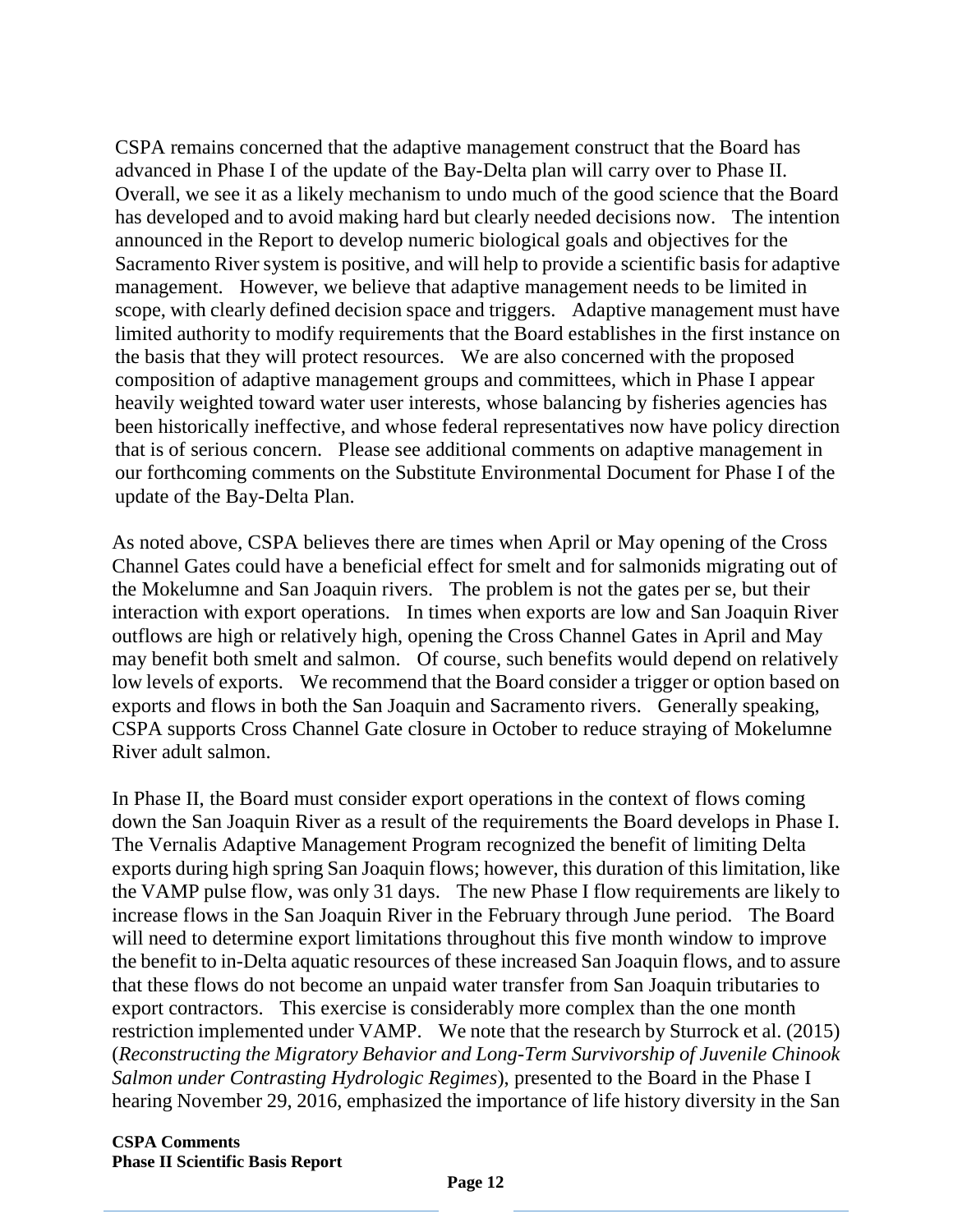CSPA remains concerned that the adaptive management construct that the Board has advanced in Phase I of the update of the Bay-Delta plan will carry over to Phase II. Overall, we see it as a likely mechanism to undo much of the good science that the Board has developed and to avoid making hard but clearly needed decisions now. The intention announced in the Report to develop numeric biological goals and objectives for the Sacramento River system is positive, and will help to provide a scientific basis for adaptive management. However, we believe that adaptive management needs to be limited in scope, with clearly defined decision space and triggers. Adaptive management must have limited authority to modify requirements that the Board establishes in the first instance on the basis that they will protect resources. We are also concerned with the proposed composition of adaptive management groups and committees, which in Phase I appear heavily weighted toward water user interests, whose balancing by fisheries agencies has been historically ineffective, and whose federal representatives now have policy direction that is of serious concern. Please see additional comments on adaptive management in our forthcoming comments on the Substitute Environmental Document for Phase I of the update of the Bay-Delta Plan.

As noted above, CSPA believes there are times when April or May opening of the Cross Channel Gates could have a beneficial effect for smelt and for salmonids migrating out of the Mokelumne and San Joaquin rivers. The problem is not the gates per se, but their interaction with export operations. In times when exports are low and San Joaquin River outflows are high or relatively high, opening the Cross Channel Gates in April and May may benefit both smelt and salmon. Of course, such benefits would depend on relatively low levels of exports. We recommend that the Board consider a trigger or option based on exports and flows in both the San Joaquin and Sacramento rivers. Generally speaking, CSPA supports Cross Channel Gate closure in October to reduce straying of Mokelumne River adult salmon.

In Phase II, the Board must consider export operations in the context of flows coming down the San Joaquin River as a result of the requirements the Board develops in Phase I. The Vernalis Adaptive Management Program recognized the benefit of limiting Delta exports during high spring San Joaquin flows; however, this duration of this limitation, like the VAMP pulse flow, was only 31 days. The new Phase I flow requirements are likely to increase flows in the San Joaquin River in the February through June period. The Board will need to determine export limitations throughout this five month window to improve the benefit to in-Delta aquatic resources of these increased San Joaquin flows, and to assure that these flows do not become an unpaid water transfer from San Joaquin tributaries to export contractors. This exercise is considerably more complex than the one month restriction implemented under VAMP. We note that the research by Sturrock et al. (2015) (*Reconstructing the Migratory Behavior and Long-Term Survivorship of Juvenile Chinook Salmon under Contrasting Hydrologic Regimes*), presented to the Board in the Phase I hearing November 29, 2016, emphasized the importance of life history diversity in the San